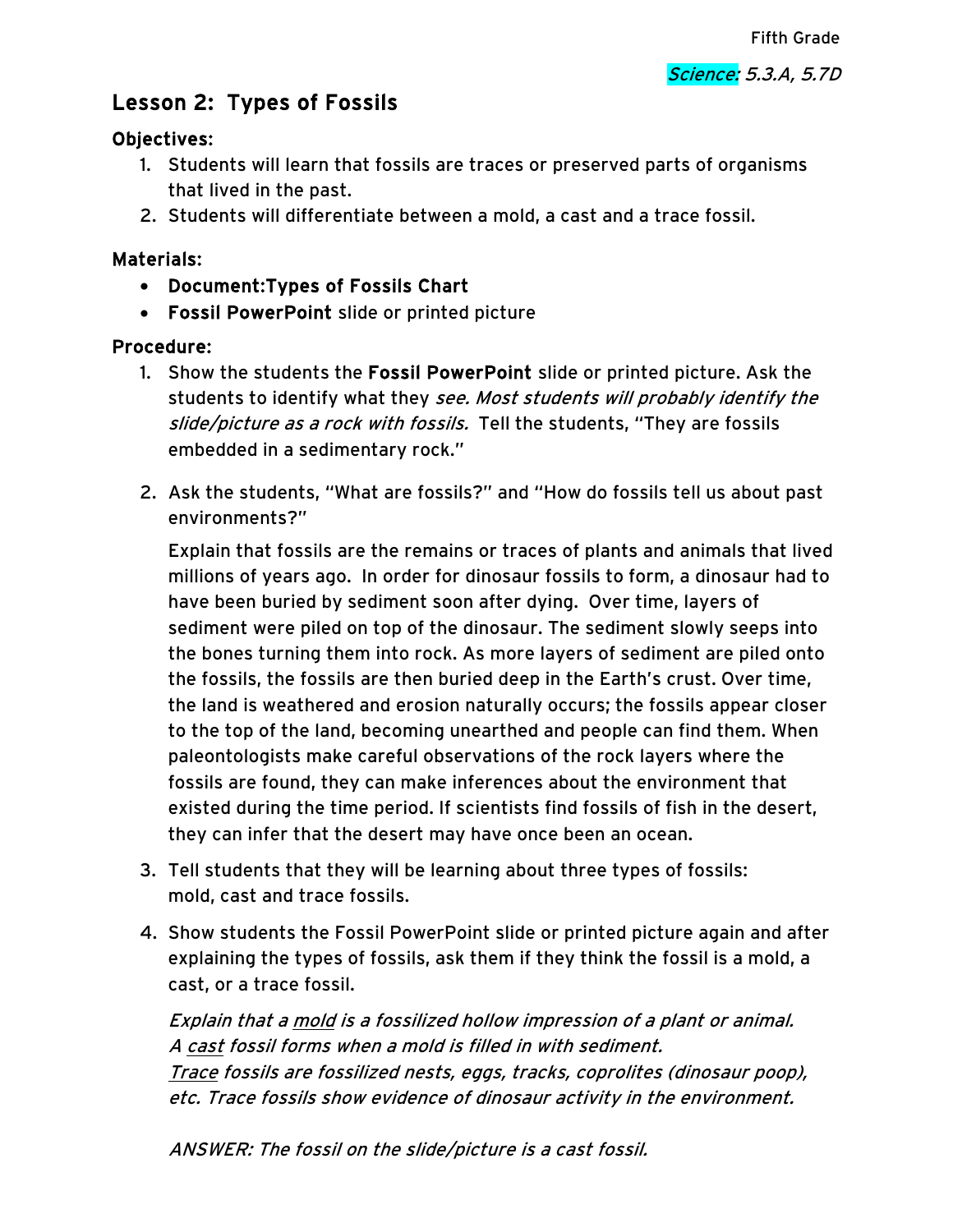# Lesson 2: Types of Fossils

#### Objectives:

- 1. Students will learn that fossils are traces or preserved parts of organisms that lived in the past.
- 2. Students will differentiate between a mold, a cast and a trace fossil.

### Materials:

- Document:Types of Fossils Chart
- Fossil PowerPoint slide or printed picture

### Procedure:

- 1. Show the students the Fossil PowerPoint slide or printed picture. Ask the students to identify what they see. Most students will probably identify the slide/picture as a rock with fossils. Tell the students, "They are fossils embedded in a sedimentary rock."
- 2. Ask the students, "What are fossils?" and "How do fossils tell us about past environments?"

Explain that fossils are the remains or traces of plants and animals that lived millions of years ago. In order for dinosaur fossils to form, a dinosaur had to have been buried by sediment soon after dying. Over time, layers of sediment were piled on top of the dinosaur. The sediment slowly seeps into the bones turning them into rock. As more layers of sediment are piled onto the fossils, the fossils are then buried deep in the Earth's crust. Over time, the land is weathered and erosion naturally occurs; the fossils appear closer to the top of the land, becoming unearthed and people can find them. When paleontologists make careful observations of the rock layers where the fossils are found, they can make inferences about the environment that existed during the time period. If scientists find fossils of fish in the desert, they can infer that the desert may have once been an ocean.

- 3. Tell students that they will be learning about three types of fossils: mold, cast and trace fossils.
- 4. Show students the Fossil PowerPoint slide or printed picture again and after explaining the types of fossils, ask them if they think the fossil is a mold, a cast, or a trace fossil.

Explain that a mold is a fossilized hollow impression of a plant or animal. A cast fossil forms when a mold is filled in with sediment. Trace fossils are fossilized nests, eggs, tracks, coprolites (dinosaur poop), etc. Trace fossils show evidence of dinosaur activity in the environment.

ANSWER: The fossil on the slide/picture is a cast fossil.